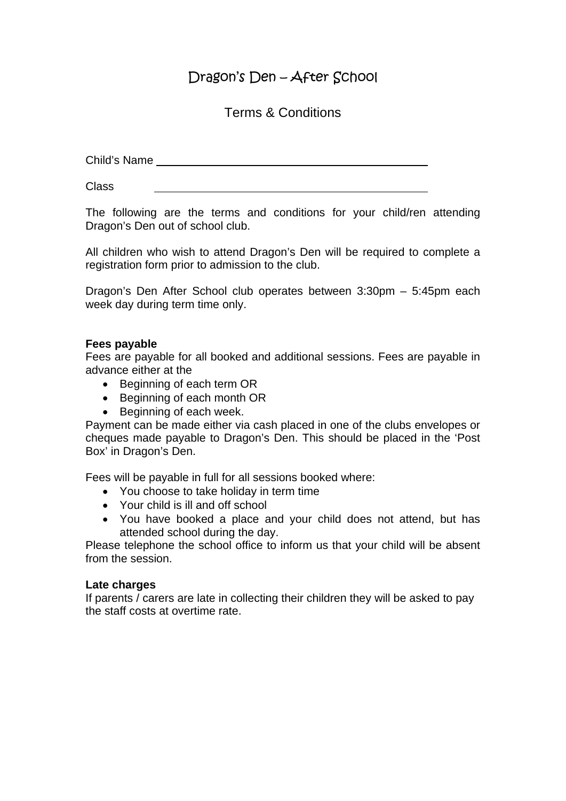# Dragon's Den – After School

## Terms & Conditions

Child's Name

Class

The following are the terms and conditions for your child/ren attending Dragon's Den out of school club.

All children who wish to attend Dragon's Den will be required to complete a registration form prior to admission to the club.

Dragon's Den After School club operates between 3:30pm – 5:45pm each week day during term time only.

## **Fees payable**

Fees are payable for all booked and additional sessions. Fees are payable in advance either at the

- Beginning of each term OR
- Beginning of each month OR
- Beginning of each week.

Payment can be made either via cash placed in one of the clubs envelopes or cheques made payable to Dragon's Den. This should be placed in the 'Post Box' in Dragon's Den.

Fees will be payable in full for all sessions booked where:

- You choose to take holiday in term time
- Your child is ill and off school
- You have booked a place and your child does not attend, but has attended school during the day.

Please telephone the school office to inform us that your child will be absent from the session.

#### **Late charges**

If parents / carers are late in collecting their children they will be asked to pay the staff costs at overtime rate.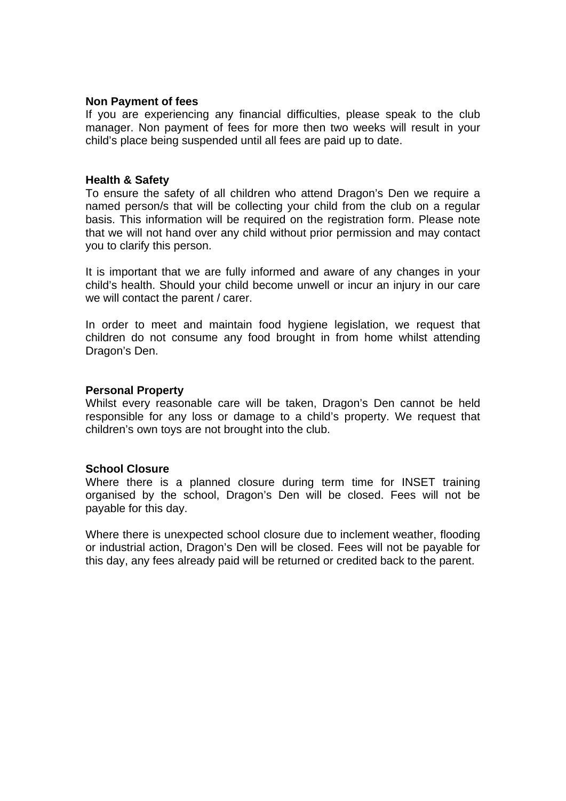#### **Non Payment of fees**

If you are experiencing any financial difficulties, please speak to the club manager. Non payment of fees for more then two weeks will result in your child's place being suspended until all fees are paid up to date.

#### **Health & Safety**

To ensure the safety of all children who attend Dragon's Den we require a named person/s that will be collecting your child from the club on a regular basis. This information will be required on the registration form. Please note that we will not hand over any child without prior permission and may contact you to clarify this person.

It is important that we are fully informed and aware of any changes in your child's health. Should your child become unwell or incur an injury in our care we will contact the parent / carer.

In order to meet and maintain food hygiene legislation, we request that children do not consume any food brought in from home whilst attending Dragon's Den.

#### **Personal Property**

Whilst every reasonable care will be taken, Dragon's Den cannot be held responsible for any loss or damage to a child's property. We request that children's own toys are not brought into the club.

#### **School Closure**

Where there is a planned closure during term time for INSET training organised by the school, Dragon's Den will be closed. Fees will not be payable for this day.

Where there is unexpected school closure due to inclement weather, flooding or industrial action, Dragon's Den will be closed. Fees will not be payable for this day, any fees already paid will be returned or credited back to the parent.